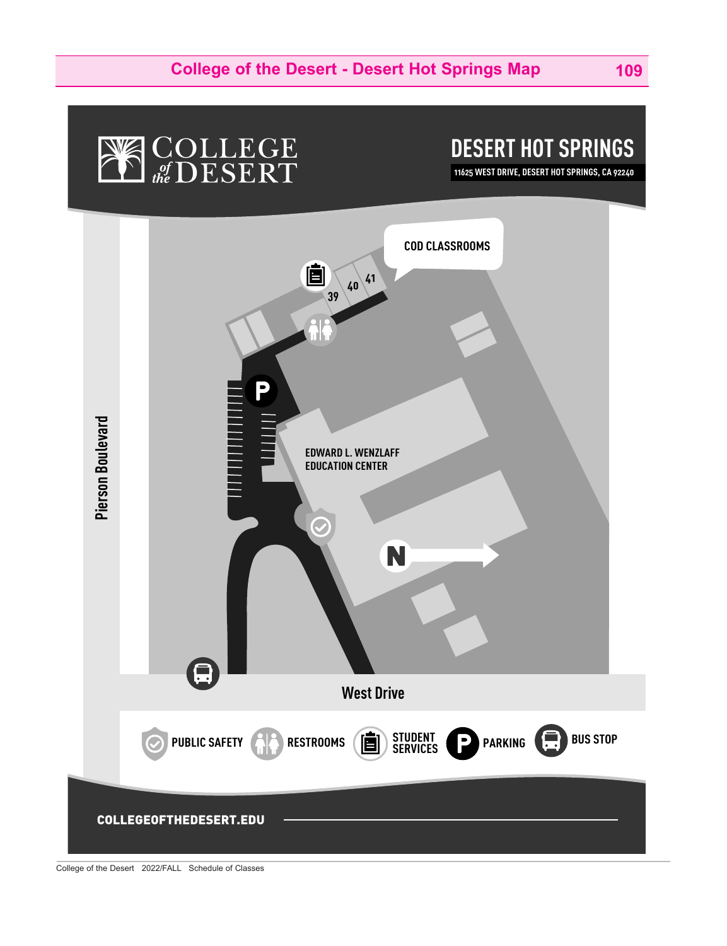## **NE COLLEGE**

**DESERT HOT SPRINGS**

**11625 WEST DRIVE, DESERT HOT SPRINGS, CA 92240**